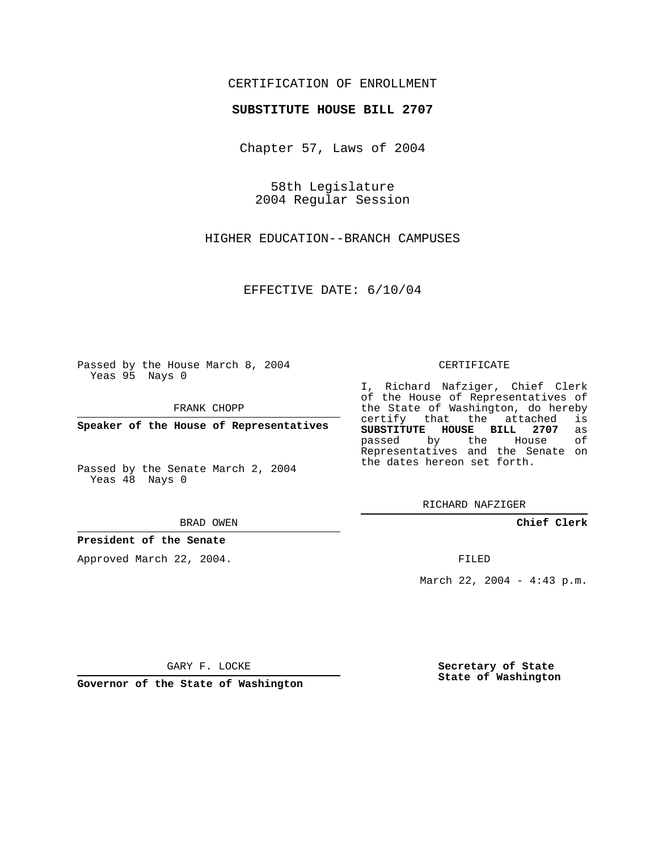## CERTIFICATION OF ENROLLMENT

#### **SUBSTITUTE HOUSE BILL 2707**

Chapter 57, Laws of 2004

58th Legislature 2004 Regular Session

HIGHER EDUCATION--BRANCH CAMPUSES

EFFECTIVE DATE: 6/10/04

Passed by the House March 8, 2004 Yeas 95 Nays 0

FRANK CHOPP

**Speaker of the House of Representatives**

Passed by the Senate March 2, 2004 Yeas 48 Nays 0

#### BRAD OWEN

## **President of the Senate**

Approved March 22, 2004.

#### CERTIFICATE

I, Richard Nafziger, Chief Clerk of the House of Representatives of the State of Washington, do hereby<br>certify that the attached is certify that the attached **SUBSTITUTE HOUSE BILL 2707** as passed by the House Representatives and the Senate on the dates hereon set forth.

RICHARD NAFZIGER

**Chief Clerk**

FILED

March 22, 2004 - 4:43 p.m.

GARY F. LOCKE

**Governor of the State of Washington**

**Secretary of State State of Washington**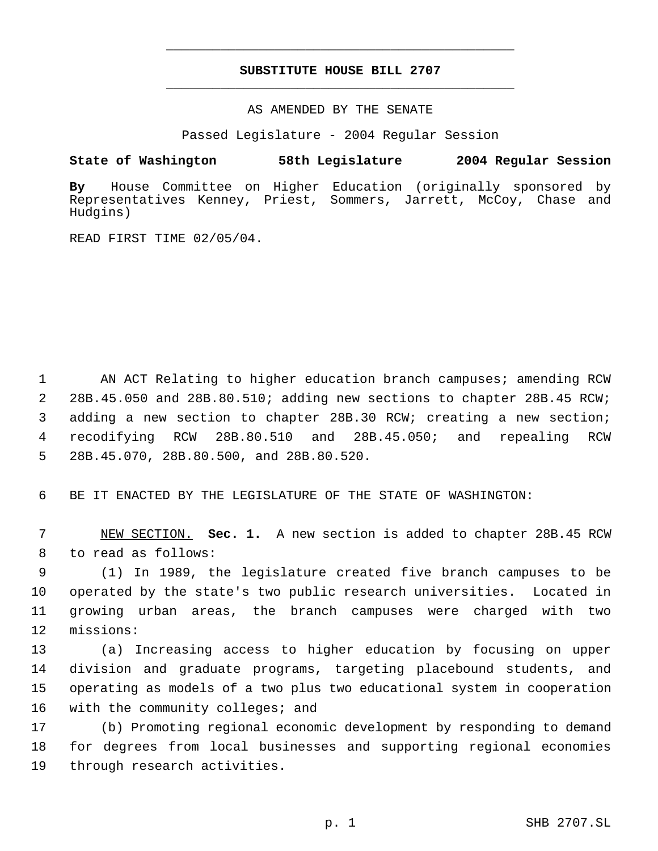# **SUBSTITUTE HOUSE BILL 2707** \_\_\_\_\_\_\_\_\_\_\_\_\_\_\_\_\_\_\_\_\_\_\_\_\_\_\_\_\_\_\_\_\_\_\_\_\_\_\_\_\_\_\_\_\_

\_\_\_\_\_\_\_\_\_\_\_\_\_\_\_\_\_\_\_\_\_\_\_\_\_\_\_\_\_\_\_\_\_\_\_\_\_\_\_\_\_\_\_\_\_

AS AMENDED BY THE SENATE

Passed Legislature - 2004 Regular Session

### **State of Washington 58th Legislature 2004 Regular Session**

**By** House Committee on Higher Education (originally sponsored by Representatives Kenney, Priest, Sommers, Jarrett, McCoy, Chase and Hudgins)

READ FIRST TIME 02/05/04.

1 AN ACT Relating to higher education branch campuses; amending RCW 28B.45.050 and 28B.80.510; adding new sections to chapter 28B.45 RCW; adding a new section to chapter 28B.30 RCW; creating a new section; recodifying RCW 28B.80.510 and 28B.45.050; and repealing RCW 28B.45.070, 28B.80.500, and 28B.80.520.

6 BE IT ENACTED BY THE LEGISLATURE OF THE STATE OF WASHINGTON:

 7 NEW SECTION. **Sec. 1.** A new section is added to chapter 28B.45 RCW 8 to read as follows:

 (1) In 1989, the legislature created five branch campuses to be operated by the state's two public research universities. Located in growing urban areas, the branch campuses were charged with two missions:

 (a) Increasing access to higher education by focusing on upper division and graduate programs, targeting placebound students, and operating as models of a two plus two educational system in cooperation 16 with the community colleges; and

17 (b) Promoting regional economic development by responding to demand 18 for degrees from local businesses and supporting regional economies 19 through research activities.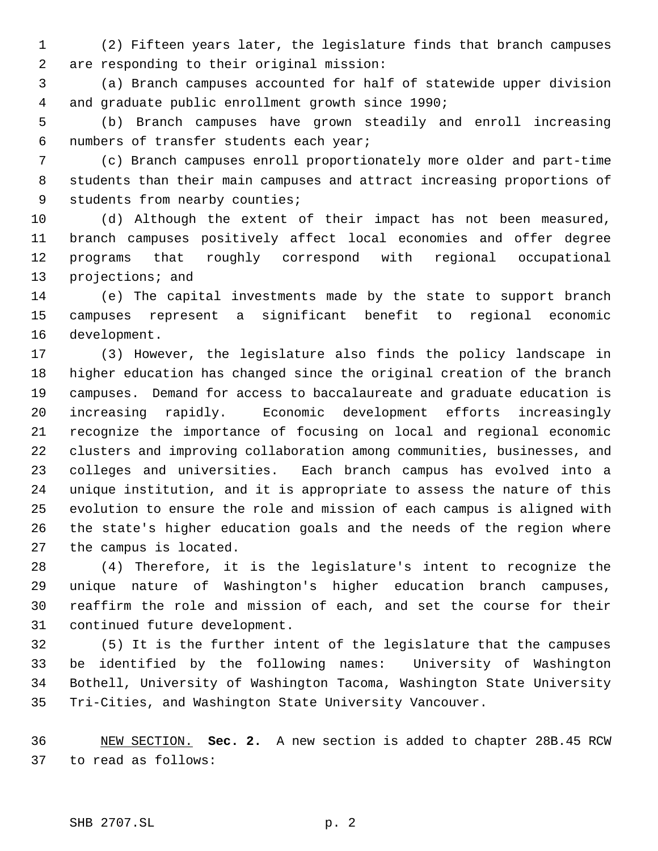(2) Fifteen years later, the legislature finds that branch campuses are responding to their original mission:

 (a) Branch campuses accounted for half of statewide upper division and graduate public enrollment growth since 1990;

 (b) Branch campuses have grown steadily and enroll increasing numbers of transfer students each year;

 (c) Branch campuses enroll proportionately more older and part-time students than their main campuses and attract increasing proportions of students from nearby counties;

 (d) Although the extent of their impact has not been measured, branch campuses positively affect local economies and offer degree programs that roughly correspond with regional occupational 13 projections; and

 (e) The capital investments made by the state to support branch campuses represent a significant benefit to regional economic development.

 (3) However, the legislature also finds the policy landscape in higher education has changed since the original creation of the branch campuses. Demand for access to baccalaureate and graduate education is increasing rapidly. Economic development efforts increasingly recognize the importance of focusing on local and regional economic clusters and improving collaboration among communities, businesses, and colleges and universities. Each branch campus has evolved into a unique institution, and it is appropriate to assess the nature of this evolution to ensure the role and mission of each campus is aligned with the state's higher education goals and the needs of the region where the campus is located.

 (4) Therefore, it is the legislature's intent to recognize the unique nature of Washington's higher education branch campuses, reaffirm the role and mission of each, and set the course for their continued future development.

 (5) It is the further intent of the legislature that the campuses be identified by the following names: University of Washington Bothell, University of Washington Tacoma, Washington State University Tri-Cities, and Washington State University Vancouver.

 NEW SECTION. **Sec. 2.** A new section is added to chapter 28B.45 RCW to read as follows: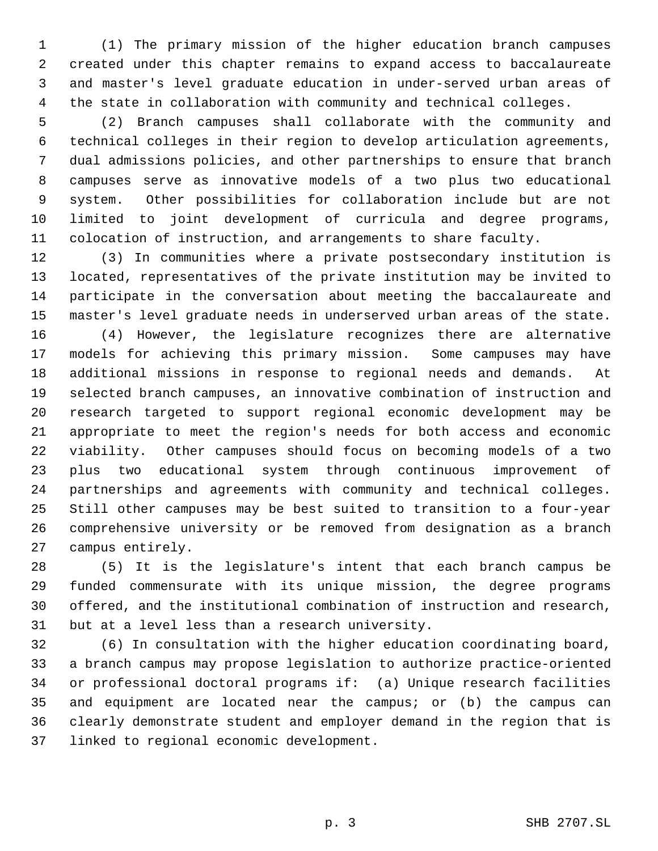(1) The primary mission of the higher education branch campuses created under this chapter remains to expand access to baccalaureate and master's level graduate education in under-served urban areas of the state in collaboration with community and technical colleges.

 (2) Branch campuses shall collaborate with the community and technical colleges in their region to develop articulation agreements, dual admissions policies, and other partnerships to ensure that branch campuses serve as innovative models of a two plus two educational system. Other possibilities for collaboration include but are not limited to joint development of curricula and degree programs, colocation of instruction, and arrangements to share faculty.

 (3) In communities where a private postsecondary institution is located, representatives of the private institution may be invited to participate in the conversation about meeting the baccalaureate and master's level graduate needs in underserved urban areas of the state. (4) However, the legislature recognizes there are alternative models for achieving this primary mission. Some campuses may have additional missions in response to regional needs and demands. At selected branch campuses, an innovative combination of instruction and research targeted to support regional economic development may be appropriate to meet the region's needs for both access and economic viability. Other campuses should focus on becoming models of a two plus two educational system through continuous improvement of partnerships and agreements with community and technical colleges. Still other campuses may be best suited to transition to a four-year comprehensive university or be removed from designation as a branch campus entirely.

 (5) It is the legislature's intent that each branch campus be funded commensurate with its unique mission, the degree programs offered, and the institutional combination of instruction and research, but at a level less than a research university.

 (6) In consultation with the higher education coordinating board, a branch campus may propose legislation to authorize practice-oriented or professional doctoral programs if: (a) Unique research facilities and equipment are located near the campus; or (b) the campus can clearly demonstrate student and employer demand in the region that is linked to regional economic development.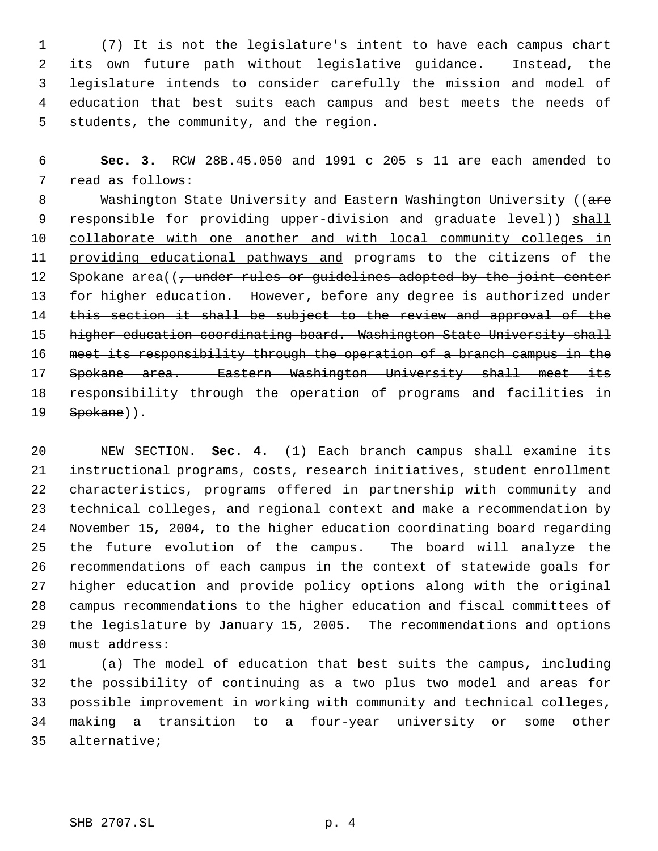(7) It is not the legislature's intent to have each campus chart its own future path without legislative guidance. Instead, the legislature intends to consider carefully the mission and model of education that best suits each campus and best meets the needs of students, the community, and the region.

 **Sec. 3.** RCW 28B.45.050 and 1991 c 205 s 11 are each amended to read as follows:

8 Washington State University and Eastern Washington University ((are 9 responsible for providing upper-division and graduate level)) shall collaborate with one another and with local community colleges in 11 providing educational pathways and programs to the citizens of the 12 Spokane area((, under rules or guidelines adopted by the joint center 13 for higher education. However, before any degree is authorized under 14 this section it shall be subject to the review and approval of the 15 higher education coordinating board. Washington State University shall meet its responsibility through the operation of a branch campus in the Spokane area. Eastern Washington University shall meet its 18 responsibility through the operation of programs and facilities in 19 Spokane)).

 NEW SECTION. **Sec. 4.** (1) Each branch campus shall examine its instructional programs, costs, research initiatives, student enrollment characteristics, programs offered in partnership with community and technical colleges, and regional context and make a recommendation by November 15, 2004, to the higher education coordinating board regarding the future evolution of the campus. The board will analyze the recommendations of each campus in the context of statewide goals for higher education and provide policy options along with the original campus recommendations to the higher education and fiscal committees of the legislature by January 15, 2005. The recommendations and options must address:

 (a) The model of education that best suits the campus, including the possibility of continuing as a two plus two model and areas for possible improvement in working with community and technical colleges, making a transition to a four-year university or some other alternative;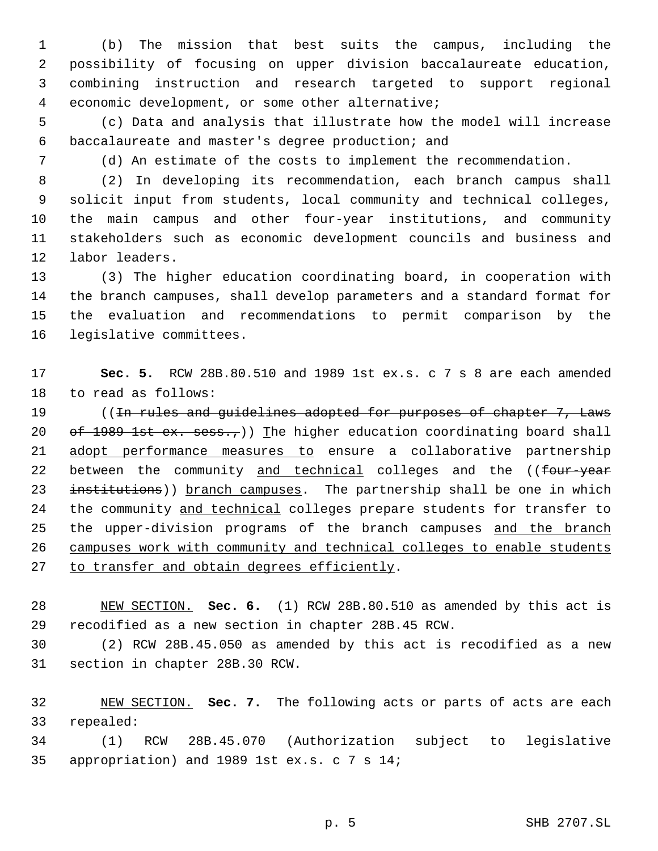(b) The mission that best suits the campus, including the possibility of focusing on upper division baccalaureate education, combining instruction and research targeted to support regional economic development, or some other alternative;

 (c) Data and analysis that illustrate how the model will increase baccalaureate and master's degree production; and

(d) An estimate of the costs to implement the recommendation.

 (2) In developing its recommendation, each branch campus shall solicit input from students, local community and technical colleges, the main campus and other four-year institutions, and community stakeholders such as economic development councils and business and labor leaders.

 (3) The higher education coordinating board, in cooperation with the branch campuses, shall develop parameters and a standard format for the evaluation and recommendations to permit comparison by the legislative committees.

 **Sec. 5.** RCW 28B.80.510 and 1989 1st ex.s. c 7 s 8 are each amended to read as follows:

19 ((In rules and guidelines adopted for purposes of chapter 7, Laws 20  $\sigma f$  1989 1st ex. sess.,)) The higher education coordinating board shall 21 adopt performance measures to ensure a collaborative partnership 22 between the community and technical colleges and the ((four-year 23 institutions)) branch campuses. The partnership shall be one in which 24 the community and technical colleges prepare students for transfer to 25 the upper-division programs of the branch campuses and the branch campuses work with community and technical colleges to enable students 27 to transfer and obtain degrees efficiently.

 NEW SECTION. **Sec. 6.** (1) RCW 28B.80.510 as amended by this act is recodified as a new section in chapter 28B.45 RCW.

 (2) RCW 28B.45.050 as amended by this act is recodified as a new section in chapter 28B.30 RCW.

 NEW SECTION. **Sec. 7.** The following acts or parts of acts are each repealed:

 (1) RCW 28B.45.070 (Authorization subject to legislative appropriation) and 1989 1st ex.s. c 7 s 14;